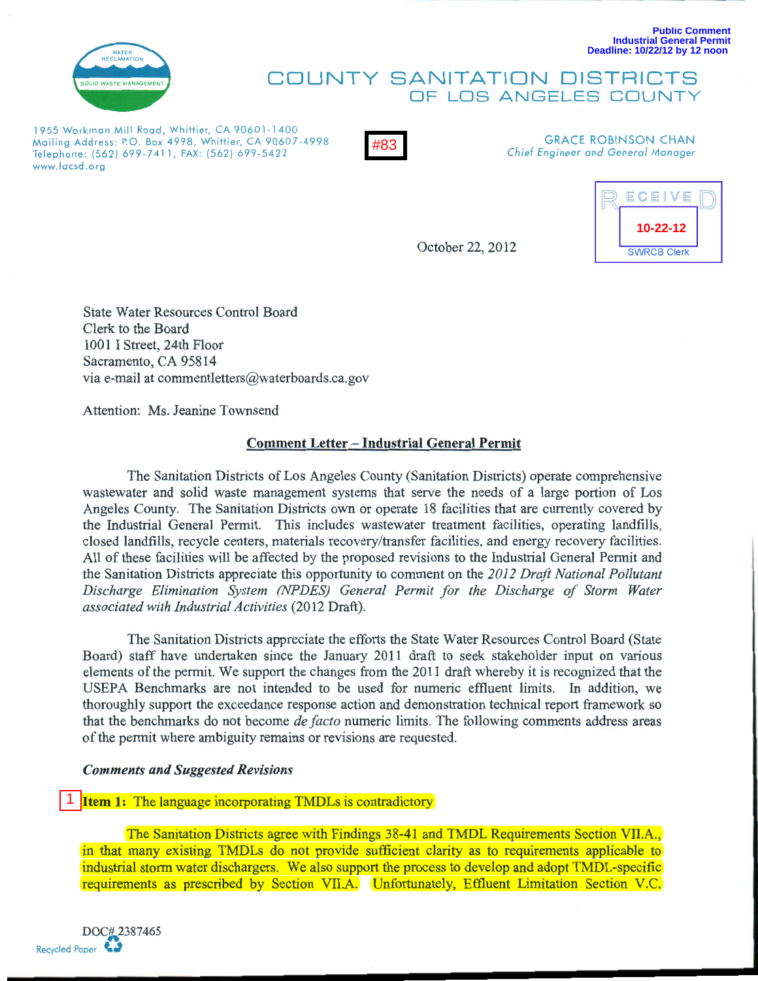

#### **Public Comment Industrial General Permit Deadline: 10/22/12 by 12 noon**

# COUNTY SANITATION DISTRICTS OF LOS ANGELES COUNTY

1955 Workman Mill Road, Whittier, CA 90601-1400 Mailing Address: P.O. Box 4998, Whittier, CA 90607-4998 Telephone: (562) 699-7411, FAX: (562) 699-5422 www.lacsd.org



GRACE ROBINSON CHAN *Chief Engineer and General Manager* 

October 22, 2012



State Water Resources Control Board Clerk to the Board 1001 I Street, 24th Floor Sacramento, CA 95814 via e-mail at commentletters@waterboards.ca.gov

Attention: Ms. Jeanine Townsend

# Comment Letter - Industrial General Permit

The Sanitation Districts of Los Angeles County (Sanitation Districts) operate comprehensive wastewater and solid waste management systems that serve the needs of a large portion of Los Angeles County. The Sanitation Districts own or operate 18 facilities that are currently covered by the Industrial General Permit. This includes wastewater treatment facilities, operating landfills, closed landfills, recycle centers, materials recovery/transfer facilities, and energy recovery facilities. All of these facilities will be affected by the proposed revisions to the Industrial General Permit and the Sanitation Districts appreciate this opportunity to comment on the *2012 Draft National Pollutant Discharge Elimination System (NPDES) General Permit for the Discharge of Storm Water associated with Industrial Activities* (2012 Draft). a Address: F.O. Box 4998, Whitler, CA 90607-4998<br>
Address: F.O. Box 4998, Whitler, CA 90607-4998<br>
Clerk to the Board<br>
Clerk to the Board<br>
1001 I Street, 24th Floor<br>
Sacramento, CA 95814<br>
Via e-mail at commentletters@water

The Sanitation Districts appreciate the efforts the State Water Resources Control Board (State Board) staff have undertaken since the January 2011 draft to seek stakeholder input on various elements of the permit. We support the changes from the 2011 draft whereby it is recognized that the USEPA Benchmarks are not intended to be used for numeric effluent limits. In addition, we thoroughly support the exceedance response action and demonstration technical report framework so that the benchmarks do not become *de facto* numeric limits. The following comments address areas of the permit where ambiguity remains or revisions are requested.

## *Comments and Suggested Revisions*

1 **Item 1:** The language incorporating TMDLs is contradictory

The Sanitation Districts agree with Findings 38-41 and TMDL Requirements Section VILA., in that many existing TMDLs do not provide sufficient clarity as to requirements applicable to industrial storm water dischargers. We also support the process to develop and adopt TMDL-specific requirements as prescribed by Section VILA. Unfortunately, Effluent Limitation Section V.C.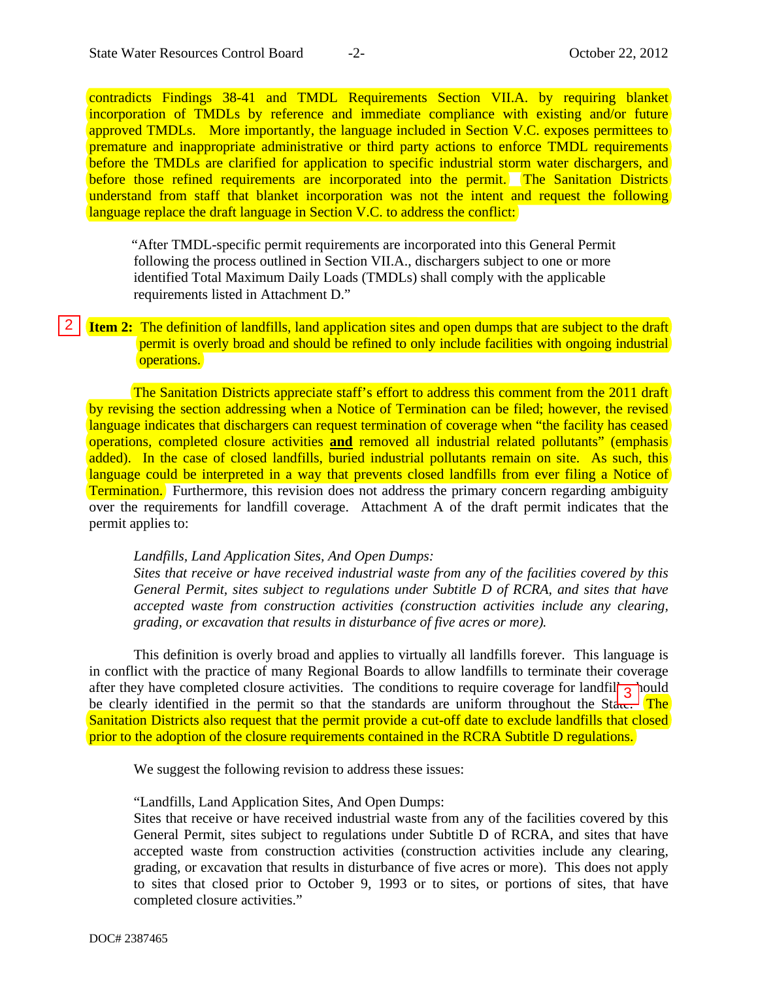contradicts Findings 38-41 and TMDL Requirements Section VII.A. by requiring blanket incorporation of TMDLs by reference and immediate compliance with existing and/or future approved TMDLs. More importantly, the language included in Section V.C. exposes permittees to premature and inappropriate administrative or third party actions to enforce TMDL requirements before the TMDLs are clarified for application to specific industrial storm water dischargers, and before those refined requirements are incorporated into the permit. The Sanitation Districts understand from staff that blanket incorporation was not the intent and request the following language replace the draft language in Section V.C. to address the conflict:

 "After TMDL-specific permit requirements are incorporated into this General Permit following the process outlined in Section VII.A., dischargers subject to one or more identified Total Maximum Daily Loads (TMDLs) shall comply with the applicable requirements listed in Attachment D."

**Item 2:** The definition of landfills, land application sites and open dumps that are subject to the draft permit is overly broad and should be refined to only include facilities with ongoing industrial operations.

The Sanitation Districts appreciate staff's effort to address this comment from the 2011 draft by revising the section addressing when a Notice of Termination can be filed; however, the revised language indicates that dischargers can request termination of coverage when "the facility has ceased operations, completed closure activities **and** removed all industrial related pollutants" (emphasis added). In the case of closed landfills, buried industrial pollutants remain on site. As such, this language could be interpreted in a way that prevents closed landfills from ever filing a Notice of Termination. Furthermore, this revision does not address the primary concern regarding ambiguity over the requirements for landfill coverage. Attachment A of the draft permit indicates that the permit applies to: **Example 2:** The definition of landfills, land application sites and open dumps that are subject to the permit is overly broad and should be refined to only include facilities with ongoing independints.<br>
The Sanitation Di

### *Landfills, Land Application Sites, And Open Dumps:*

*Sites that receive or have received industrial waste from any of the facilities covered by this General Permit, sites subject to regulations under Subtitle D of RCRA, and sites that have accepted waste from construction activities (construction activities include any clearing, grading, or excavation that results in disturbance of five acres or more).* 

This definition is overly broad and applies to virtually all landfills forever. This language is in conflict with the practice of many Regional Boards to allow landfills to terminate their coverage after they have completed closure activities. The conditions to require coverage for landfill  $\frac{1}{3}$  pould be clearly identified in the permit so that the standards are uniform throughout the State. The Sanitation Districts also request that the permit provide a cut-off date to exclude landfills that closed prior to the adoption of the closure requirements contained in the RCRA Subtitle D regulations.

We suggest the following revision to address these issues:

### "Landfills, Land Application Sites, And Open Dumps:

Sites that receive or have received industrial waste from any of the facilities covered by this General Permit, sites subject to regulations under Subtitle D of RCRA, and sites that have accepted waste from construction activities (construction activities include any clearing, grading, or excavation that results in disturbance of five acres or more). This does not apply to sites that closed prior to October 9, 1993 or to sites, or portions of sites, that have completed closure activities."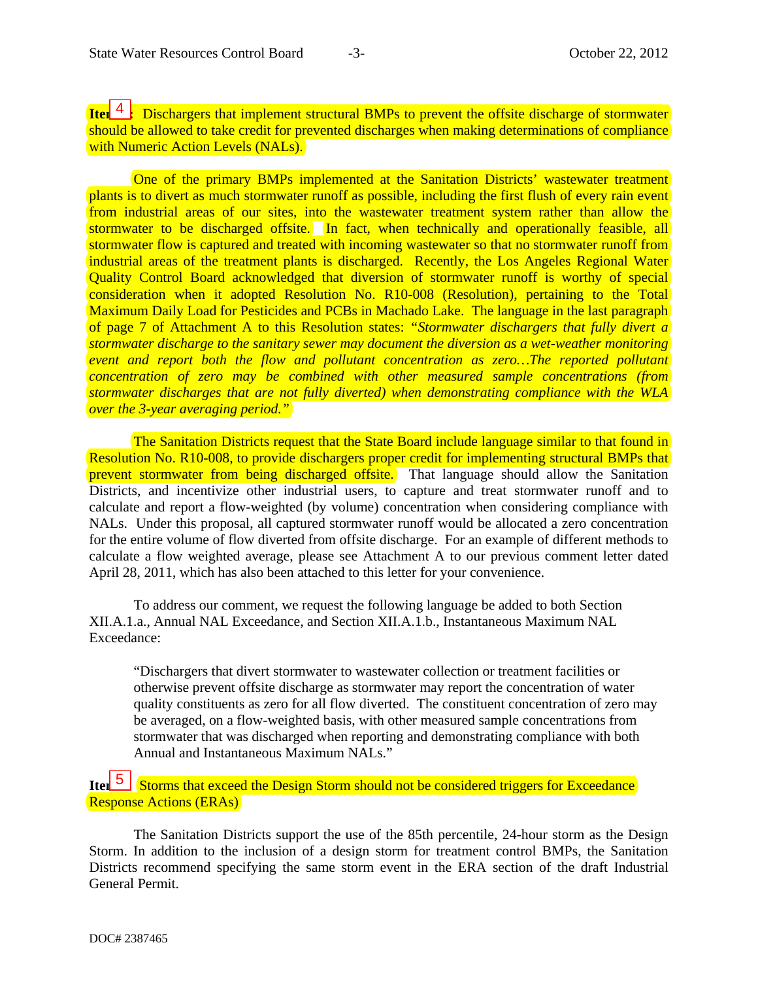**Item** <sup>4</sup>: Dischargers that implement structural BMPs to prevent the offsite discharge of stormwater should be allowed to take credit for prevented discharges when making determinations of compliance with Numeric Action Levels (NALs).

One of the primary BMPs implemented at the Sanitation Districts' wastewater treatment plants is to divert as much stormwater runoff as possible, including the first flush of every rain event from industrial areas of our sites, into the wastewater treatment system rather than allow the stormwater to be discharged offsite. In fact, when technically and operationally feasible, all stormwater flow is captured and treated with incoming wastewater so that no stormwater runoff from industrial areas of the treatment plants is discharged. Recently, the Los Angeles Regional Water Quality Control Board acknowledged that diversion of stormwater runoff is worthy of special consideration when it adopted Resolution No. R10-008 (Resolution), pertaining to the Total Maximum Daily Load for Pesticides and PCBs in Machado Lake. The language in the last paragraph of page 7 of Attachment A to this Resolution states: *"Stormwater dischargers that fully divert a stormwater discharge to the sanitary sewer may document the diversion as a wet-weather monitoring event and report both the flow and pollutant concentration as zero…The reported pollutant concentration of zero may be combined with other measured sample concentrations (from stormwater discharges that are not fully diverted) when demonstrating compliance with the WLA over the 3-year averaging period."*  4<br>
alcommunistic in music in the particule of the particular to the particular of the particular to the particule of the particule of the particular to the particular to the particular of the particular to the particular t

The Sanitation Districts request that the State Board include language similar to that found in Resolution No. R10-008, to provide dischargers proper credit for implementing structural BMPs that prevent stormwater from being discharged offsite. That language should allow the Sanitation Districts, and incentivize other industrial users, to capture and treat stormwater runoff and to calculate and report a flow-weighted (by volume) concentration when considering compliance with NALs. Under this proposal, all captured stormwater runoff would be allocated a zero concentration for the entire volume of flow diverted from offsite discharge. For an example of different methods to calculate a flow weighted average, please see Attachment A to our previous comment letter dated April 28, 2011, which has also been attached to this letter for your convenience.

To address our comment, we request the following language be added to both Section XII.A.1.a., Annual NAL Exceedance, and Section XII.A.1.b., Instantaneous Maximum NAL Exceedance:

"Dischargers that divert stormwater to wastewater collection or treatment facilities or otherwise prevent offsite discharge as stormwater may report the concentration of water quality constituents as zero for all flow diverted. The constituent concentration of zero may be averaged, on a flow-weighted basis, with other measured sample concentrations from stormwater that was discharged when reporting and demonstrating compliance with both Annual and Instantaneous Maximum NALs."

**Item** 5 Storms that exceed the Design Storm should not be considered triggers for Exceedance Response Actions (ERAs)

The Sanitation Districts support the use of the 85th percentile, 24-hour storm as the Design Storm. In addition to the inclusion of a design storm for treatment control BMPs, the Sanitation Districts recommend specifying the same storm event in the ERA section of the draft Industrial General Permit.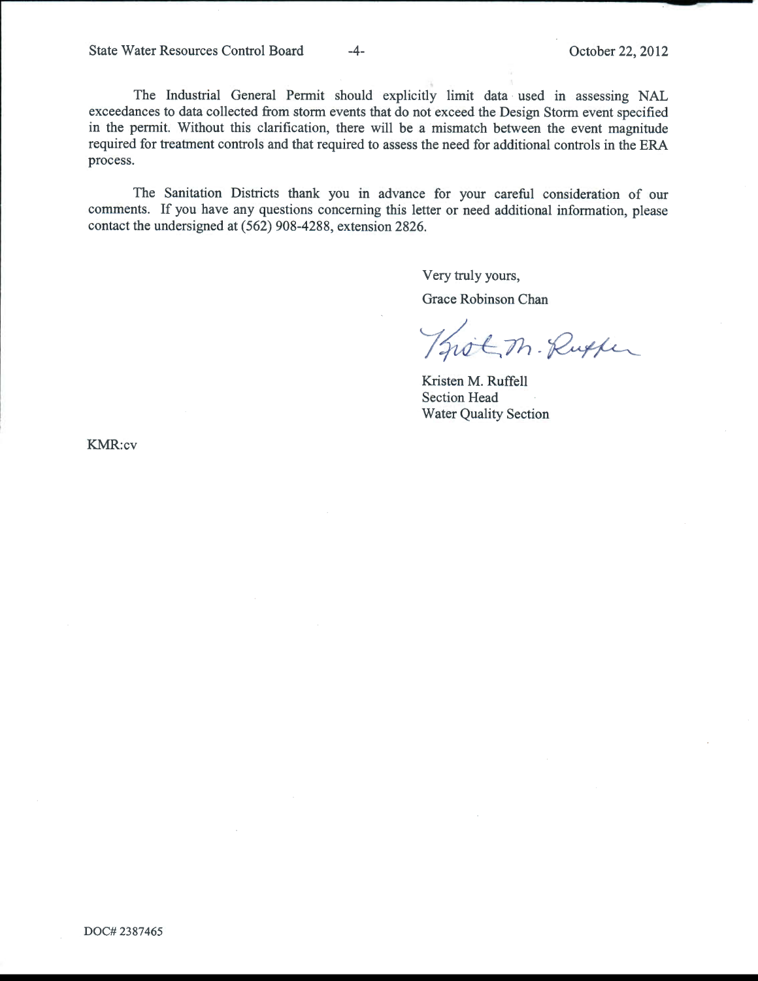State Water Resources Control Board -4- Corober 22, 2012

The Industrial General Permit should explicitly limit data used in assessing NAL exceedances to data collected from storm events that do not exceed the Design Storm event specified in the permit. Without this clarification, there will be a mismatch between the event magnitude required for treatment controls and that required to assess the need for additional controls in the ERA process.

The Sanitation Districts thank you in advance for your careful consideration of our comments. If you have any questions concerning this letter or need additional information, please contact the undersigned at (562) 908-4288, extension 2826.

Very truly yours,

Grace Robinson Chan

Thot M. Ruther

Kristen M. Ruffell Section Head Water Quality Section

KMR:cv